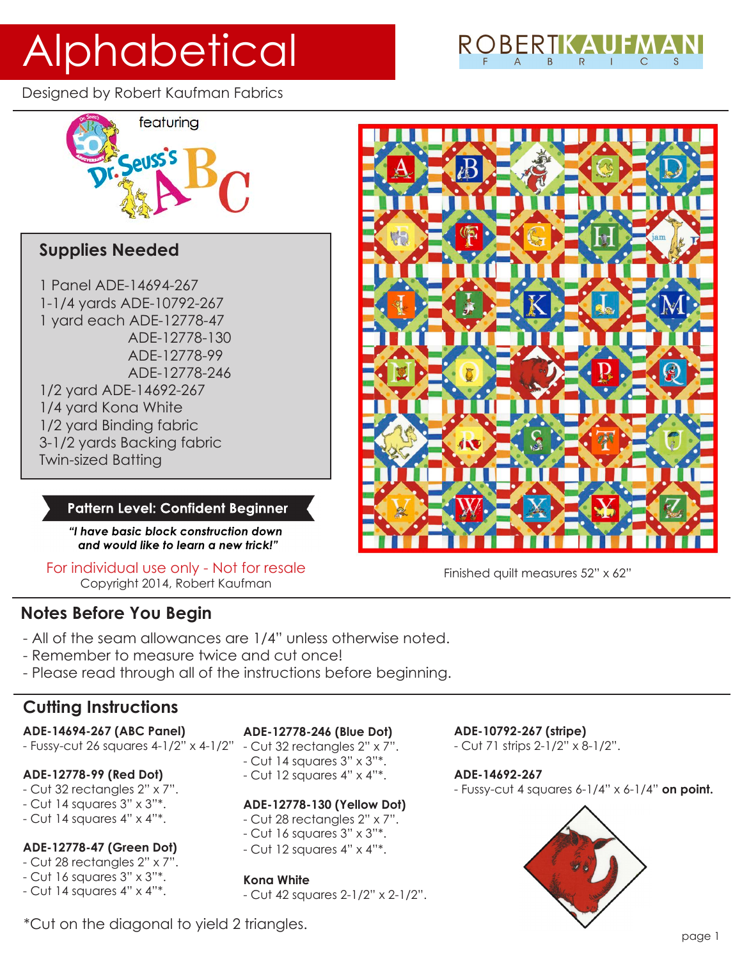# Alphabetical

Designed by Robert Kaufman Fabrics



# **Supplies Needed**

1 Panel ADE-14694-267 1-1/4 yards ADE-10792-267 1 yard each ADE-12778-47 ADE-12778-130 ADE-12778-99 ADE-12778-246 1/2 yard ADE-14692-267 1/4 yard Kona White 1/2 yard Binding fabric 3-1/2 yards Backing fabric Twin-sized Batting

#### **Pattern Level: Confident Beginner**

*"I have basic block construction down and would like to learn a new trick!"*

For individual use only - Not for resale Copyright 2014, Robert Kaufman

# **Notes Before You Begin**

- All of the seam allowances are 1/4" unless otherwise noted.
- Remember to measure twice and cut once!
- Please read through all of the instructions before beginning.

# **Cutting Instructions**

#### **ADE-14694-267 (ABC Panel)**

- Fussy-cut 26 squares 4-1/2" x 4-1/2" - Cut 32 rectangles 2" x 7".

#### **ADE-12778-99 (Red Dot)**

- Cut 32 rectangles 2" x 7".
- Cut 14 squares 3" x 3"\*.
- Cut 14 squares 4" x 4"\*.

### **ADE-12778-47 (Green Dot)**

- Cut 28 rectangles 2" x 7".
- Cut 16 squares 3" x 3"\*.
- Cut 14 squares 4" x 4"\*.

#### **ADE-12778-246 (Blue Dot)**

- 
- Cut 14 squares 3" x 3"\*.
- Cut 12 squares 4" x 4"\*.

#### **ADE-12778-130 (Yellow Dot)**

- Cut 28 rectangles 2" x 7".
- Cut 16 squares 3" x 3"\*.
- Cut 12 squares 4" x 4"\*.

#### **Kona White**

- Cut 42 squares 2-1/2" x 2-1/2".

#### **ADE-10792-267 (stripe)**

- Cut 71 strips 2-1/2" x 8-1/2".

#### **ADE-14692-267**

- Fussy-cut 4 squares 6-1/4" x 6-1/4" **on point.**



\*Cut on the diagonal to yield 2 triangles.

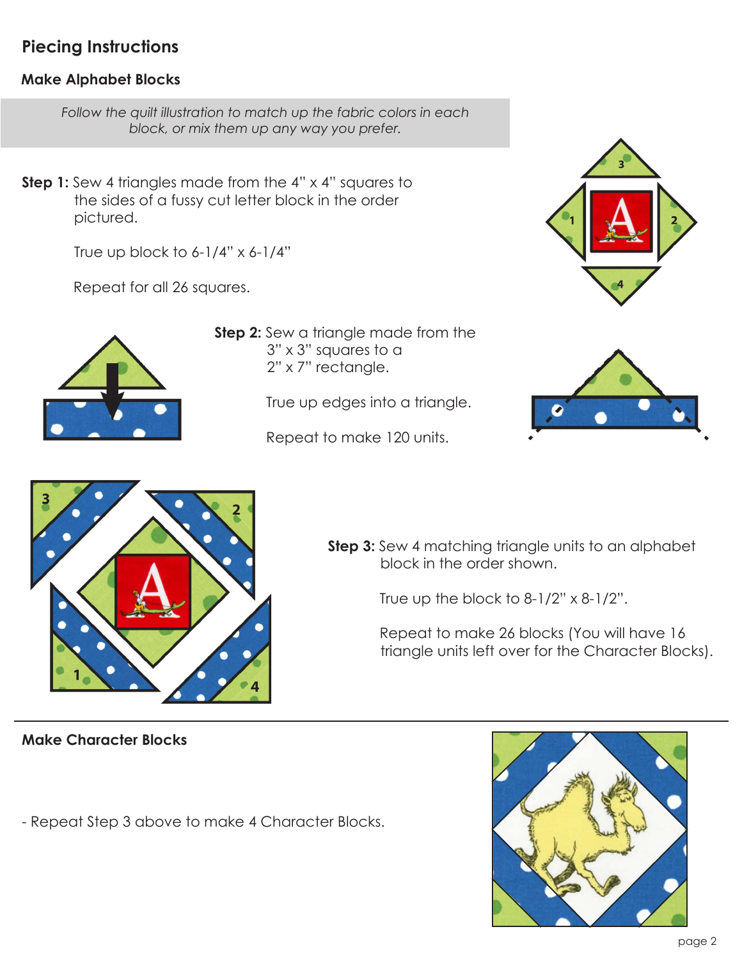# **Piecing Instructions**

## **Make Alphabet Blocks**

*Follow the quilt illustration to match up the fabric colors in each block, or mix them up any way you prefer.*

**Step 1:** Sew 4 triangles made from the 4" x 4" squares to the sides of a fussy cut letter block in the order pictured.

True up block to  $6-1/4$ " x  $6-1/4$ "

Repeat for all 26 squares.



**Step 2:** Sew a triangle made from the 3" x 3" squares to a 2" x 7" rectangle.

True up edges into a triangle.

Repeat to make 120 units.





**Step 3:** Sew 4 matching triangle units to an alphabet block in the order shown.

True up the block to  $8-1/2$ " x  $8-1/2$ ".

 Repeat to make 26 blocks (You will have 16 triangle units left over for the Character Blocks).

**Make Character Blocks**

- Repeat Step 3 above to make 4 Character Blocks.